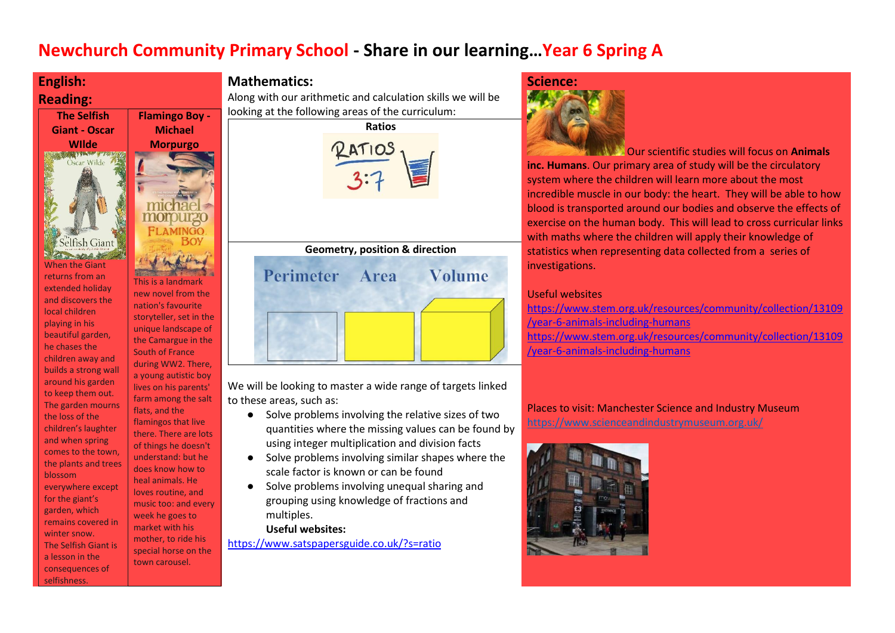# **Newchurch Community Primary School - Share in our learning…Year 6 Spring A**



## **Mathematics:**

Along with our arithmetic and calculation skills we will be looking at the following areas of the curriculum:





We will be looking to master a wide range of targets linked to these areas, such as:

- Solve problems involving the relative sizes of two quantities where the missing values can be found by using integer multiplication and division facts
- Solve problems involving similar shapes where the scale factor is known or can be found
- Solve problems involving unequal sharing and grouping using knowledge of fractions and multiples.

**Useful websites:**

<https://www.satspapersguide.co.uk/?s=ratio>

## **Science:**



Our scientific studies will focus on **Animals inc. Humans**. Our primary area of study will be the circulatory system where the children will learn more about the most incredible muscle in our body: the heart. They will be able to how blood is transported around our bodies and observe the effects of exercise on the human body. This will lead to cross curricular links with maths where the children will apply their knowledge of statistics when representing data collected from a series of investigations.

### Useful websites

[https://www.stem.org.uk/resources/community/collection/13109](https://www.stem.org.uk/resources/community/collection/13109/year-6-animals-including-humans) [/year-6-animals-including-humans](https://www.stem.org.uk/resources/community/collection/13109/year-6-animals-including-humans) [https://www.stem.org.uk/resources/community/collection/13109](https://www.stem.org.uk/resources/community/collection/13109/year-6-animals-including-humans) [/year-6-animals-including-humans](https://www.stem.org.uk/resources/community/collection/13109/year-6-animals-including-humans)

Places to visit: Manchester Science and Industry Museum https://www.scienceandindustrymuseum.org.uk/

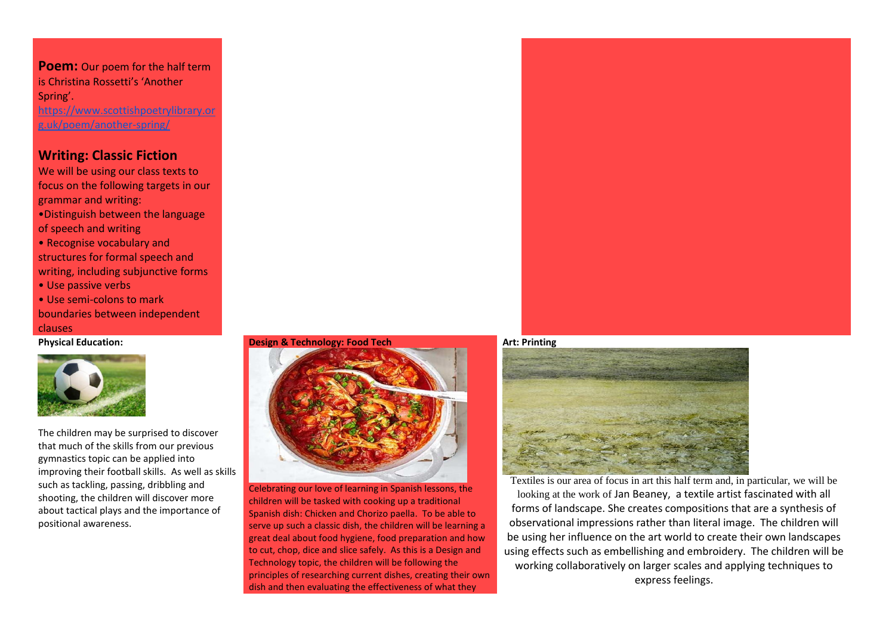**Poem:** Our poem for the half term is Christina Rossetti's 'Another Spring'. [https://www.scottishpoetrylibrary.or](https://www.scottishpoetrylibrary.org.uk/poem/another-spring/)

[g.uk/poem/another-spring/](https://www.scottishpoetrylibrary.org.uk/poem/another-spring/)

## **Writing: Classic Fiction**

We will be using our class texts to focus on the following targets in our grammar and writing:

- •Distinguish between the language of speech and writing
- Recognise vocabulary and structures for formal speech and writing, including subjunctive forms
- Use passive verbs
- Use semi-colons to mark boundaries between independent clauses

**Physical Education:**



The children may be surprised to discover that much of the skills from our previous gymnastics topic can be applied into improving their football skills. As well as skills such as tackling, passing, dribbling and shooting, the children will discover more about tactical plays and the importance of positional awareness.

#### **Design & Technology: Food Tech**



Celebrating our love of learning in Spanish lessons, the children will be tasked with cooking up a traditional Spanish dish: Chicken and Chorizo paella. To be able to serve up such a classic dish, the children will be learning a great deal about food hygiene, food preparation and how to cut, chop, dice and slice safely. As this is a Design and Technology topic, the children will be following the principles of researching current dishes, creating their own dish and then evaluating the effectiveness of what they



**Art: Printing**



Textiles is our area of focus in art this half term and, in particular, we will be looking at the work of Jan Beaney, a textile artist fascinated with all forms of landscape. She creates compositions that are a synthesis of observational impressions rather than literal image. The children will be using her influence on the art world to create their own landscapes using effects such as embellishing and embroidery. The children will be working collaboratively on larger scales and applying techniques to express feelings.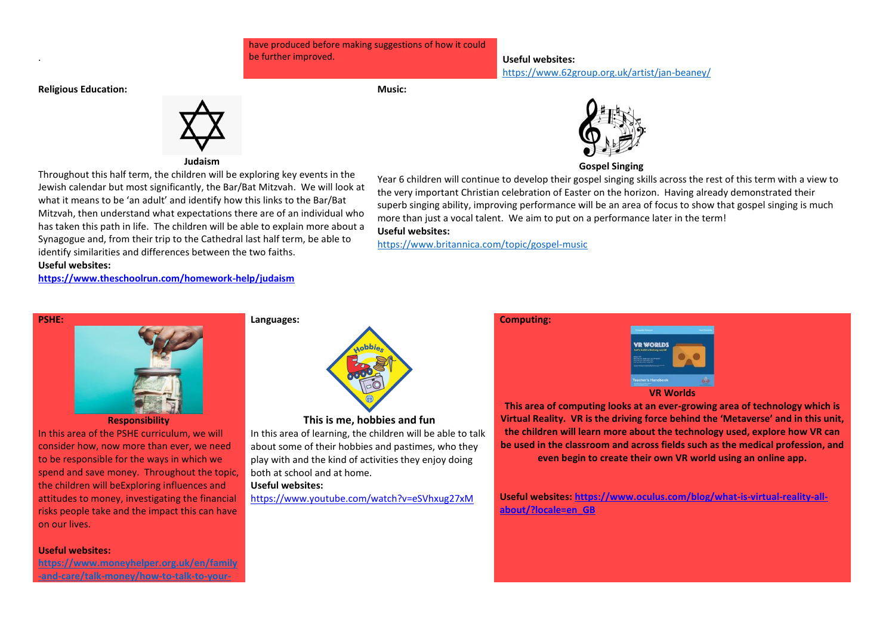have produced before making suggestions of how it could be further improved. **Useful websites:**

**Music:**

https://www.62group.org.uk/artist/jan-beaney/

**Religious Education:**

.

#### **Judaism**

Throughout this half term, the children will be exploring key events in the Jewish calendar but most significantly, the Bar/Bat Mitzvah. We will look at what it means to be 'an adult' and identify how this links to the Bar/Bat Mitzvah, then understand what expectations there are of an individual who has taken this path in life. The children will be able to explain more about a Synagogue and, from their trip to the Cathedral last half term, be able to identify similarities and differences between the two faiths. **Useful websites:**

**<https://www.theschoolrun.com/homework-help/judaism>**



#### **Responsibility**

In this area of the PSHE curriculum, we will consider how, now more than ever, we need to be responsible for the ways in which we spend and save money. Throughout the topic, the children will beExploring influences and attitudes to money, investigating the financial risks people take and the impact this can have on our lives.

#### **Useful websites:**

**https://www.moneyhelper.org.uk/en/family -and-care/talk-money/how-to-talk-to-your-**



#### **This is me, hobbies and fun**

In this area of learning, the children will be able to talk about some of their hobbies and pastimes, who they play with and the kind of activities they enjoy doing both at school and at home.

#### **Useful websites:**

**Languages:**

<https://www.youtube.com/watch?v=eSVhxug27xM>



#### **Gospel Singing**

Year 6 children will continue to develop their gospel singing skills across the rest of this term with a view to the very important Christian celebration of Easter on the horizon. Having already demonstrated their superb singing ability, improving performance will be an area of focus to show that gospel singing is much more than just a vocal talent. We aim to put on a performance later in the term!

## **Useful websites:**

<https://www.britannica.com/topic/gospel-music>

## **Computing:**



**This area of computing looks at an ever-growing area of technology which is Virtual Reality. VR is the driving force behind the 'Metaverse' and in this unit, the children will learn more about the technology used, explore how VR can be used in the classroom and across fields such as the medical profession, and even begin to create their own VR world using an online app.**

**Useful websites[: https://www.oculus.com/blog/what-is-virtual-reality-all](https://www.oculus.com/blog/what-is-virtual-reality-all-about/?locale=en_GB)[about/?locale=en\\_GB](https://www.oculus.com/blog/what-is-virtual-reality-all-about/?locale=en_GB)**